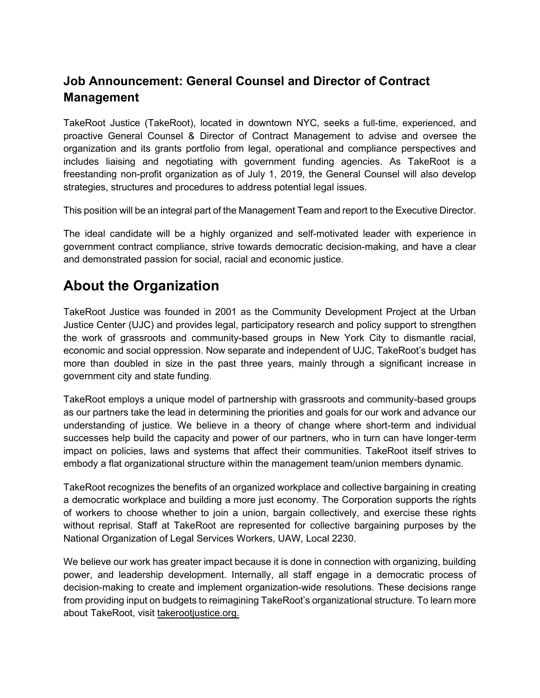#### **Job Announcement: General Counsel and Director of Contract Management**

TakeRoot Justice (TakeRoot), located in downtown NYC, seeks a full-time, experienced, and proactive General Counsel & Director of Contract Management to advise and oversee the organization and its grants portfolio from legal, operational and compliance perspectives and includes liaising and negotiating with government funding agencies. As TakeRoot is a freestanding non-profit organization as of July 1, 2019, the General Counsel will also develop strategies, structures and procedures to address potential legal issues.

This position will be an integral part of the Management Team and report to the Executive Director.

The ideal candidate will be a highly organized and self-motivated leader with experience in government contract compliance, strive towards democratic decision-making, and have a clear and demonstrated passion for social, racial and economic justice.

### **About the Organization**

TakeRoot Justice was founded in 2001 as the Community Development Project at the Urban Justice Center (UJC) and provides legal, participatory research and policy support to strengthen the work of grassroots and community-based groups in New York City to dismantle racial, economic and social oppression. Now separate and independent of UJC, TakeRoot's budget has more than doubled in size in the past three years, mainly through a significant increase in government city and state funding.

TakeRoot employs a unique model of partnership with grassroots and community-based groups as our partners take the lead in determining the priorities and goals for our work and advance our understanding of justice. We believe in a theory of change where short-term and individual successes help build the capacity and power of our partners, who in turn can have longer-term impact on policies, laws and systems that affect their communities. TakeRoot itself strives to embody a flat organizational structure within the management team/union members dynamic.

TakeRoot recognizes the benefits of an organized workplace and collective bargaining in creating a democratic workplace and building a more just economy. The Corporation supports the rights of workers to choose whether to join a union, bargain collectively, and exercise these rights without reprisal. Staff at TakeRoot are represented for collective bargaining purposes by the National Organization of Legal Services Workers, UAW, Local 2230.

We believe our work has greater impact because it is done in connection with organizing, building power, and leadership development. Internally, all staff engage in a democratic process of decision-making to create and implement organization-wide resolutions. These decisions range from providing input on budgets to reimagining TakeRoot's organizational structure. To learn more about TakeRoot, visit [takerootjustice.org.](http://takerootjustice.org/)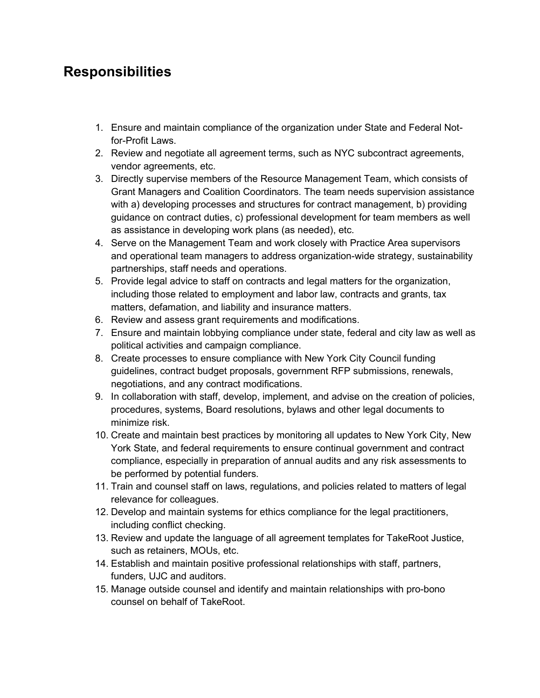### **Responsibilities**

- 1. Ensure and maintain compliance of the organization under State and Federal Notfor-Profit Laws.
- 2. Review and negotiate all agreement terms, such as NYC subcontract agreements, vendor agreements, etc.
- 3. Directly supervise members of the Resource Management Team, which consists of Grant Managers and Coalition Coordinators. The team needs supervision assistance with a) developing processes and structures for contract management, b) providing guidance on contract duties, c) professional development for team members as well as assistance in developing work plans (as needed), etc.
- 4. Serve on the Management Team and work closely with Practice Area supervisors and operational team managers to address organization-wide strategy, sustainability partnerships, staff needs and operations.
- 5. Provide legal advice to staff on contracts and legal matters for the organization, including those related to employment and labor law, contracts and grants, tax matters, defamation, and liability and insurance matters.
- 6. Review and assess grant requirements and modifications.
- 7. Ensure and maintain lobbying compliance under state, federal and city law as well as political activities and campaign compliance.
- 8. Create processes to ensure compliance with New York City Council funding guidelines, contract budget proposals, government RFP submissions, renewals, negotiations, and any contract modifications.
- 9. In collaboration with staff, develop, implement, and advise on the creation of policies, procedures, systems, Board resolutions, bylaws and other legal documents to minimize risk.
- 10. Create and maintain best practices by monitoring all updates to New York City, New York State, and federal requirements to ensure continual government and contract compliance, especially in preparation of annual audits and any risk assessments to be performed by potential funders.
- 11. Train and counsel staff on laws, regulations, and policies related to matters of legal relevance for colleagues.
- 12. Develop and maintain systems for ethics compliance for the legal practitioners, including conflict checking.
- 13. Review and update the language of all agreement templates for TakeRoot Justice, such as retainers, MOUs, etc.
- 14. Establish and maintain positive professional relationships with staff, partners, funders, UJC and auditors.
- 15. Manage outside counsel and identify and maintain relationships with pro-bono counsel on behalf of TakeRoot.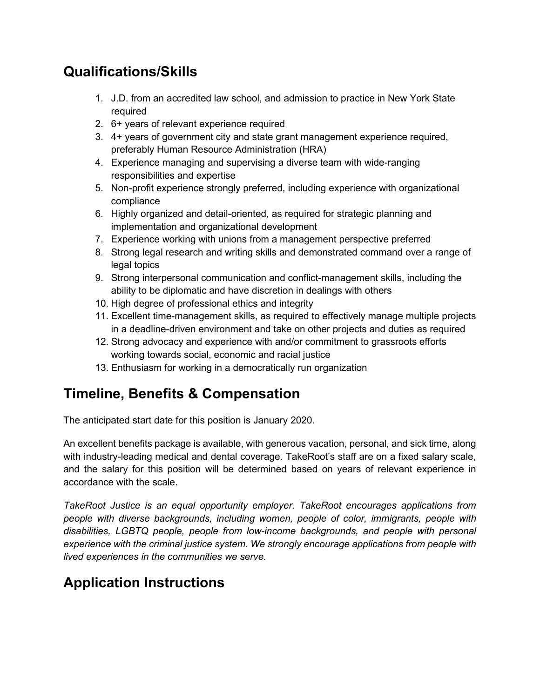## **Qualifications/Skills**

- 1. J.D. from an accredited law school, and admission to practice in New York State required
- 2. 6+ years of relevant experience required
- 3. 4+ years of government city and state grant management experience required, preferably Human Resource Administration (HRA)
- 4. Experience managing and supervising a diverse team with wide-ranging responsibilities and expertise
- 5. Non-profit experience strongly preferred, including experience with organizational compliance
- 6. Highly organized and detail-oriented, as required for strategic planning and implementation and organizational development
- 7. Experience working with unions from a management perspective preferred
- 8. Strong legal research and writing skills and demonstrated command over a range of legal topics
- 9. Strong interpersonal communication and conflict-management skills, including the ability to be diplomatic and have discretion in dealings with others
- 10. High degree of professional ethics and integrity
- 11. Excellent time-management skills, as required to effectively manage multiple projects in a deadline-driven environment and take on other projects and duties as required
- 12. Strong advocacy and experience with and/or commitment to grassroots efforts working towards social, economic and racial justice
- 13. Enthusiasm for working in a democratically run organization

# **Timeline, Benefits & Compensation**

The anticipated start date for this position is January 2020.

An excellent benefits package is available, with generous vacation, personal, and sick time, along with industry-leading medical and dental coverage. TakeRoot's staff are on a fixed salary scale, and the salary for this position will be determined based on years of relevant experience in accordance with the scale.

*TakeRoot Justice is an equal opportunity employer. TakeRoot encourages applications from people with diverse backgrounds, including women, people of color, immigrants, people with disabilities, LGBTQ people, people from low-income backgrounds, and people with personal experience with the criminal justice system. We strongly encourage applications from people with lived experiences in the communities we serve.*

# **Application Instructions**